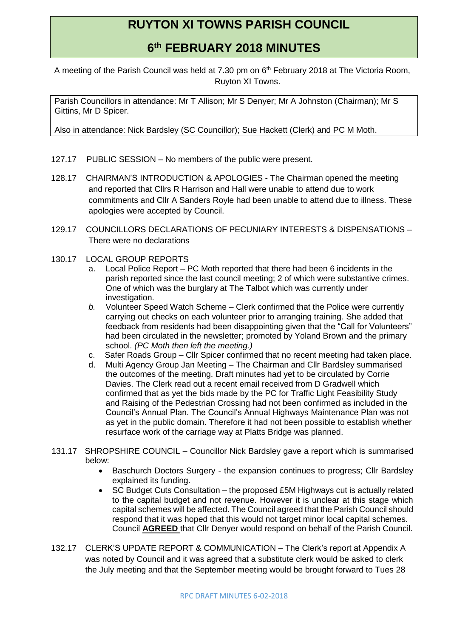## **RUYTON XI TOWNS PARISH COUNCIL**

## **6 th FEBRUARY 2018 MINUTES**

A meeting of the Parish Council was held at 7.30 pm on 6<sup>th</sup> February 2018 at The Victoria Room, Ruyton XI Towns.

Parish Councillors in attendance: Mr T Allison; Mr S Denyer; Mr A Johnston (Chairman); Mr S Gittins, Mr D Spicer.

Also in attendance: Nick Bardsley (SC Councillor); Sue Hackett (Clerk) and PC M Moth.

- 127.17 PUBLIC SESSION No members of the public were present.
- 128.17 CHAIRMAN'S INTRODUCTION & APOLOGIES The Chairman opened the meeting and reported that Cllrs R Harrison and Hall were unable to attend due to work commitments and Cllr A Sanders Royle had been unable to attend due to illness. These apologies were accepted by Council.
- 129.17 COUNCILLORS DECLARATIONS OF PECUNIARY INTERESTS & DISPENSATIONS There were no declarations
- 130.17 LOCAL GROUP REPORTS
	- a. Local Police Report PC Moth reported that there had been 6 incidents in the parish reported since the last council meeting; 2 of which were substantive crimes. One of which was the burglary at The Talbot which was currently under investigation.
	- *b.* Volunteer Speed Watch Scheme Clerk confirmed that the Police were currently carrying out checks on each volunteer prior to arranging training. She added that feedback from residents had been disappointing given that the "Call for Volunteers" had been circulated in the newsletter; promoted by Yoland Brown and the primary school. *(PC Moth then left the meeting.)*
	- c. Safer Roads Group Cllr Spicer confirmed that no recent meeting had taken place.
	- d. Multi Agency Group Jan Meeting The Chairman and Cllr Bardsley summarised the outcomes of the meeting. Draft minutes had yet to be circulated by Corrie Davies. The Clerk read out a recent email received from D Gradwell which confirmed that as yet the bids made by the PC for Traffic Light Feasibility Study and Raising of the Pedestrian Crossing had not been confirmed as included in the Council's Annual Plan. The Council's Annual Highways Maintenance Plan was not as yet in the public domain. Therefore it had not been possible to establish whether resurface work of the carriage way at Platts Bridge was planned.
- 131.17 SHROPSHIRE COUNCIL Councillor Nick Bardsley gave a report which is summarised below:
	- Baschurch Doctors Surgery the expansion continues to progress; Cllr Bardsley explained its funding.
	- SC Budget Cuts Consultation the proposed £5M Highways cut is actually related to the capital budget and not revenue. However it is unclear at this stage which capital schemes will be affected. The Council agreed that the Parish Council should respond that it was hoped that this would not target minor local capital schemes. Council **AGREED** that Cllr Denyer would respond on behalf of the Parish Council.
- 132.17 CLERK'S UPDATE REPORT & COMMUNICATION The Clerk's report at Appendix A was noted by Council and it was agreed that a substitute clerk would be asked to clerk the July meeting and that the September meeting would be brought forward to Tues 28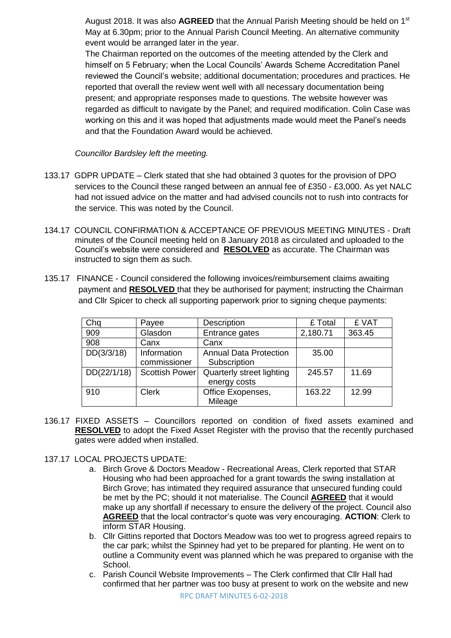August 2018. It was also **AGREED** that the Annual Parish Meeting should be held on 1st May at 6.30pm; prior to the Annual Parish Council Meeting. An alternative community event would be arranged later in the year.

The Chairman reported on the outcomes of the meeting attended by the Clerk and himself on 5 February; when the Local Councils' Awards Scheme Accreditation Panel reviewed the Council's website; additional documentation; procedures and practices. He reported that overall the review went well with all necessary documentation being present; and appropriate responses made to questions. The website however was regarded as difficult to navigate by the Panel; and required modification. Colin Case was working on this and it was hoped that adjustments made would meet the Panel's needs and that the Foundation Award would be achieved.

*Councillor Bardsley left the meeting.*

- 133.17 GDPR UPDATE Clerk stated that she had obtained 3 quotes for the provision of DPO services to the Council these ranged between an annual fee of £350 - £3,000. As yet NALC had not issued advice on the matter and had advised councils not to rush into contracts for the service. This was noted by the Council.
- 134.17 COUNCIL CONFIRMATION & ACCEPTANCE OF PREVIOUS MEETING MINUTES Draft minutes of the Council meeting held on 8 January 2018 as circulated and uploaded to the Council's website were considered and **RESOLVED** as accurate. The Chairman was instructed to sign them as such.
- 135.17 FINANCE Council considered the following invoices/reimbursement claims awaiting payment and **RESOLVED** that they be authorised for payment; instructing the Chairman and Cllr Spicer to check all supporting paperwork prior to signing cheque payments:

| Chq         | Payee          | Description                   | £ Total  | £ VAT  |
|-------------|----------------|-------------------------------|----------|--------|
| 909         | Glasdon        | Entrance gates                | 2,180.71 | 363.45 |
| 908         | Canx           | Canx                          |          |        |
| DD(3/3/18)  | Information    | <b>Annual Data Protection</b> | 35.00    |        |
|             | commissioner   | Subscription                  |          |        |
| DD(22/1/18) | Scottish Power | Quarterly street lighting     | 245.57   | 11.69  |
|             |                | energy costs                  |          |        |
| 910         | <b>Clerk</b>   | Office Exopenses,             | 163.22   | 12.99  |
|             |                | Mileage                       |          |        |

- 136.17 FIXED ASSETS Councillors reported on condition of fixed assets examined and **RESOLVED** to adopt the Fixed Asset Register with the proviso that the recently purchased gates were added when installed.
- 137.17 LOCAL PROJECTS UPDATE:
	- a. Birch Grove & Doctors Meadow Recreational Areas, Clerk reported that STAR Housing who had been approached for a grant towards the swing installation at Birch Grove; has intimated they required assurance that unsecured funding could be met by the PC; should it not materialise. The Council **AGREED** that it would make up any shortfall if necessary to ensure the delivery of the project. Council also **AGREED** that the local contractor's quote was very encouraging. **ACTION**: Clerk to inform STAR Housing.
	- b. Cllr Gittins reported that Doctors Meadow was too wet to progress agreed repairs to the car park; whilst the Spinney had yet to be prepared for planting. He went on to outline a Community event was planned which he was prepared to organise with the School.
	- c. Parish Council Website Improvements The Clerk confirmed that Cllr Hall had confirmed that her partner was too busy at present to work on the website and new